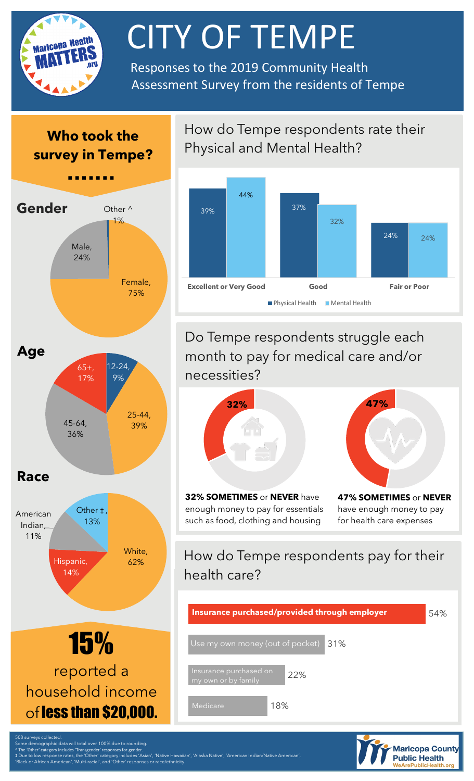

# **CITY OF TEMPE**

 Responses to the 2019 Community Health Assessment Survey from the residents of Tempe

### **Who took the survey in Tempe?**



White, Hispanic, 62% 14% American Indian, 11% Other **‡** 13%



How do Tempe respondents rate their Physical and Mental Health?



Do Tempe respondents struggle each month to pay for medical care and/or necessities?



**32% SOMETIMES** or **NEVER** have enough money to pay for essentials such as food, clothing and housing



**47% SOMETIMES** or **NEVER**  have enough money to pay for health care expenses

## How do Tempe respondents pay for their health care?

| Insurance purchased/provided through employer        | 54% |
|------------------------------------------------------|-----|
| Use my own money (out of pocket) 31%                 |     |
| Insurance purchased on<br>22%<br>my own or by family |     |
| 18%<br>Medicare                                      |     |



'Black or African American', 'Multi-racial', and 'Other' responses or race/ethnicity.